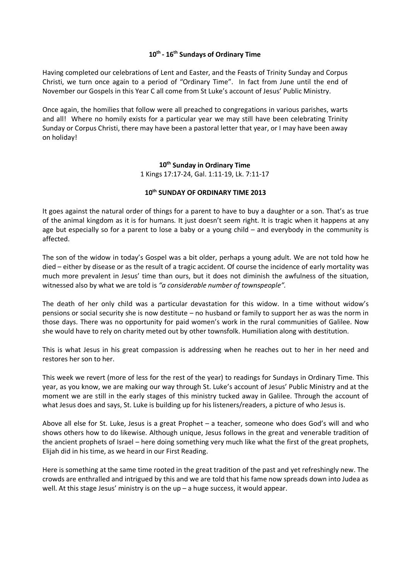### **10th - 16th Sundays of Ordinary Time**

Having completed our celebrations of Lent and Easter, and the Feasts of Trinity Sunday and Corpus Christi, we turn once again to a period of "Ordinary Time". In fact from June until the end of November our Gospels in this Year C all come from St Luke's account of Jesus' Public Ministry.

Once again, the homilies that follow were all preached to congregations in various parishes, warts and all! Where no homily exists for a particular year we may still have been celebrating Trinity Sunday or Corpus Christi, there may have been a pastoral letter that year, or I may have been away on holiday!

# **10th Sunday in Ordinary Time**

1 Kings 17:17-24, Gal. 1:11-19, Lk. 7:11-17

# **10th SUNDAY OF ORDINARY TIME 2013**

It goes against the natural order of things for a parent to have to buy a daughter or a son. That's as true of the animal kingdom as it is for humans. It just doesn't seem right. It is tragic when it happens at any age but especially so for a parent to lose a baby or a young child – and everybody in the community is affected.

The son of the widow in today's Gospel was a bit older, perhaps a young adult. We are not told how he died – either by disease or as the result of a tragic accident. Of course the incidence of early mortality was much more prevalent in Jesus' time than ours, but it does not diminish the awfulness of the situation, witnessed also by what we are told is *"a considerable number of townspeople".*

The death of her only child was a particular devastation for this widow. In a time without widow's pensions or social security she is now destitute – no husband or family to support her as was the norm in those days. There was no opportunity for paid women's work in the rural communities of Galilee. Now she would have to rely on charity meted out by other townsfolk. Humiliation along with destitution.

This is what Jesus in his great compassion is addressing when he reaches out to her in her need and restores her son to her.

This week we revert (more of less for the rest of the year) to readings for Sundays in Ordinary Time. This year, as you know, we are making our way through St. Luke's account of Jesus' Public Ministry and at the moment we are still in the early stages of this ministry tucked away in Galilee. Through the account of what Jesus does and says, St. Luke is building up for his listeners/readers, a picture of who Jesus is.

Above all else for St. Luke, Jesus is a great Prophet – a teacher, someone who does God's will and who shows others how to do likewise. Although unique, Jesus follows in the great and venerable tradition of the ancient prophets of Israel – here doing something very much like what the first of the great prophets, Elijah did in his time, as we heard in our First Reading.

Here is something at the same time rooted in the great tradition of the past and yet refreshingly new. The crowds are enthralled and intrigued by this and we are told that his fame now spreads down into Judea as well. At this stage Jesus' ministry is on the  $up - a$  huge success, it would appear.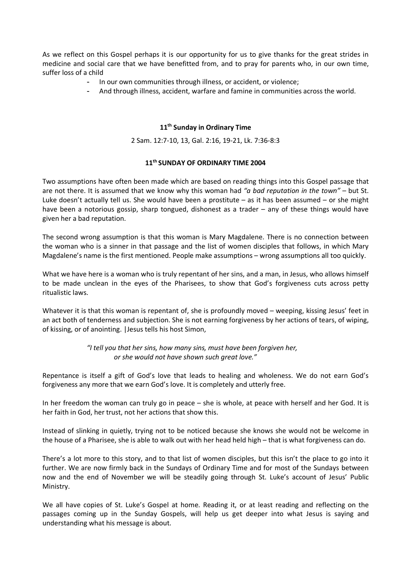As we reflect on this Gospel perhaps it is our opportunity for us to give thanks for the great strides in medicine and social care that we have benefitted from, and to pray for parents who, in our own time, suffer loss of a child

- In our own communities through illness, or accident, or violence;
- And through illness, accident, warfare and famine in communities across the world.

#### **11th Sunday in Ordinary Time**

2 Sam. 12:7-10, 13, Gal. 2:16, 19-21, Lk. 7:36-8:3

#### **11th SUNDAY OF ORDINARY TIME 2004**

Two assumptions have often been made which are based on reading things into this Gospel passage that are not there. It is assumed that we know why this woman had *"a bad reputation in the town"* – but St. Luke doesn't actually tell us. She would have been a prostitute – as it has been assumed – or she might have been a notorious gossip, sharp tongued, dishonest as a trader – any of these things would have given her a bad reputation.

The second wrong assumption is that this woman is Mary Magdalene. There is no connection between the woman who is a sinner in that passage and the list of women disciples that follows, in which Mary Magdalene's name is the first mentioned. People make assumptions – wrong assumptions all too quickly.

What we have here is a woman who is truly repentant of her sins, and a man, in Jesus, who allows himself to be made unclean in the eyes of the Pharisees, to show that God's forgiveness cuts across petty ritualistic laws.

Whatever it is that this woman is repentant of, she is profoundly moved - weeping, kissing Jesus' feet in an act both of tenderness and subjection. She is not earning forgiveness by her actions of tears, of wiping, of kissing, or of anointing. |Jesus tells his host Simon,

> *"I tell you that her sins, how many sins, must have been forgiven her, or she would not have shown such great love."*

Repentance is itself a gift of God's love that leads to healing and wholeness. We do not earn God's forgiveness any more that we earn God's love. It is completely and utterly free.

In her freedom the woman can truly go in peace – she is whole, at peace with herself and her God. It is her faith in God, her trust, not her actions that show this.

Instead of slinking in quietly, trying not to be noticed because she knows she would not be welcome in the house of a Pharisee, she is able to walk out with her head held high – that is what forgiveness can do.

There's a lot more to this story, and to that list of women disciples, but this isn't the place to go into it further. We are now firmly back in the Sundays of Ordinary Time and for most of the Sundays between now and the end of November we will be steadily going through St. Luke's account of Jesus' Public Ministry.

We all have copies of St. Luke's Gospel at home. Reading it, or at least reading and reflecting on the passages coming up in the Sunday Gospels, will help us get deeper into what Jesus is saying and understanding what his message is about.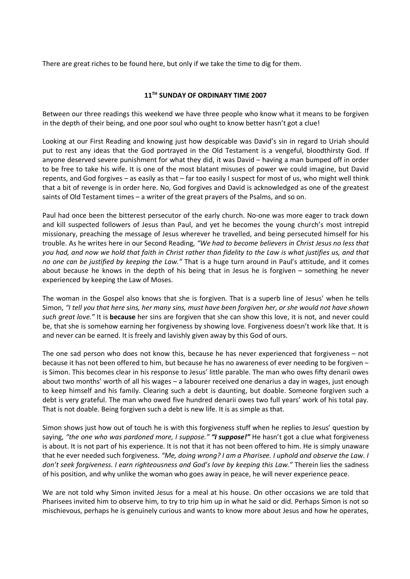There are great riches to be found here, but only if we take the time to dig for them.

# **11TH SUNDAY OF ORDINARY TIME 2007**

Between our three readings this weekend we have three people who know what it means to be forgiven in the depth of their being, and one poor soul who ought to know better hasn't got a clue!

Looking at our First Reading and knowing just how despicable was David's sin in regard to Uriah should put to rest any ideas that the God portrayed in the Old Testament is a vengeful, bloodthirsty God. If anyone deserved severe punishment for what they did, it was David – having a man bumped off in order to be free to take his wife. It is one of the most blatant misuses of power we could imagine, but David repents, and God forgives – as easily as that – far too easily I suspect for most of us, who might well think that a bit of revenge is in order here. No, God forgives and David is acknowledged as one of the greatest saints of Old Testament times – a writer of the great prayers of the Psalms, and so on.

Paul had once been the bitterest persecutor of the early church. No-one was more eager to track down and kill suspected followers of Jesus than Paul, and yet he becomes the young church's most intrepid missionary, preaching the message of Jesus wherever he travelled, and being persecuted himself for his trouble. As he writes here in our Second Reading, *"We had to become believers in Christ Jesus no less that you had, and now we hold that faith in Christ rather than fidelity to the Law is what justifies us, and that no one can be justified by keeping the Law."* That is a huge turn around in Paul's attitude, and it comes about because he knows in the depth of his being that in Jesus he is forgiven – something he never experienced by keeping the Law of Moses.

The woman in the Gospel also knows that she is forgiven. That is a superb line of Jesus' when he tells Simon, *"I tell you that here sins, her many sins, must have been forgiven her, or she would not have shown such great love."* It is **because** her sins are forgiven that she can show this love, it is not, and never could be, that she is somehow earning her forgiveness by showing love. Forgiveness doesn't work like that. It is and never can be earned. It is freely and lavishly given away by this God of ours.

The one sad person who does not know this, because he has never experienced that forgiveness – not because it has not been offered to him, but because he has no awareness of ever needing to be forgiven – is Simon. This becomes clear in his response to Jesus' little parable. The man who owes fifty denarii owes about two months' worth of all his wages – a labourer received one denarius a day in wages, just enough to keep himself and his family. Clearing such a debt is daunting, but doable. Someone forgiven such a debt is very grateful. The man who owed five hundred denarii owes two full years' work of his total pay. That is not doable. Being forgiven such a debt is new life. It is as simple as that.

Simon shows just how out of touch he is with this forgiveness stuff when he replies to Jesus' question by saying, *"the one who was pardoned more, I suppose." "I suppose!"* He hasn't got a clue what forgiveness is about. It is not part of his experience. It is not that it has not been offered to him. He is simply unaware that he ever needed such forgiveness. *"Me, doing wrong? I am a Pharisee. I uphold and observe the Law. I don't seek forgiveness. I earn righteousness and God's love by keeping this Law."* Therein lies the sadness of his position, and why unlike the woman who goes away in peace, he will never experience peace.

We are not told why Simon invited Jesus for a meal at his house. On other occasions we are told that Pharisees invited him to observe him, to try to trip him up in what he said or did. Perhaps Simon is not so mischievous, perhaps he is genuinely curious and wants to know more about Jesus and how he operates,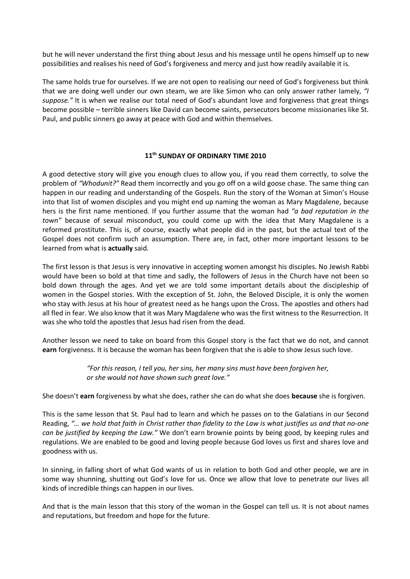but he will never understand the first thing about Jesus and his message until he opens himself up to new possibilities and realises his need of God's forgiveness and mercy and just how readily available it is.

The same holds true for ourselves. If we are not open to realising our need of God's forgiveness but think that we are doing well under our own steam, we are like Simon who can only answer rather lamely, *"I*  suppose." It is when we realise our total need of God's abundant love and forgiveness that great things become possible – terrible sinners like David can become saints, persecutors become missionaries like St. Paul, and public sinners go away at peace with God and within themselves.

#### **11th SUNDAY OF ORDINARY TIME 2010**

A good detective story will give you enough clues to allow you, if you read them correctly, to solve the problem of *"Whodunit?"* Read them incorrectly and you go off on a wild goose chase. The same thing can happen in our reading and understanding of the Gospels. Run the story of the Woman at Simon's House into that list of women disciples and you might end up naming the woman as Mary Magdalene, because hers is the first name mentioned. If you further assume that the woman had *"a bad reputation in the town"* because of sexual misconduct, you could come up with the idea that Mary Magdalene is a reformed prostitute. This is, of course, exactly what people did in the past, but the actual text of the Gospel does not confirm such an assumption. There are, in fact, other more important lessons to be learned from what is **actually** said.

The first lesson is that Jesus is very innovative in accepting women amongst his disciples. No Jewish Rabbi would have been so bold at that time and sadly, the followers of Jesus in the Church have not been so bold down through the ages. And yet we are told some important details about the discipleship of women in the Gospel stories. With the exception of St. John, the Beloved Disciple, it is only the women who stay with Jesus at his hour of greatest need as he hangs upon the Cross. The apostles and others had all fled in fear. We also know that it was Mary Magdalene who was the first witness to the Resurrection. It was she who told the apostles that Jesus had risen from the dead.

Another lesson we need to take on board from this Gospel story is the fact that we do not, and cannot **earn** forgiveness. It is because the woman has been forgiven that she is able to show Jesus such love.

> *"For this reason, I tell you, her sins, her many sins must have been forgiven her, or she would not have shown such great love."*

She doesn't **earn** forgiveness by what she does, rather she can do what she does **because** she is forgiven.

This is the same lesson that St. Paul had to learn and which he passes on to the Galatians in our Second Reading, *"… we hold that faith in Christ rather than fidelity to the Law is what justifies us and that no-one can be justified by keeping the Law."* We don't earn brownie points by being good, by keeping rules and regulations. We are enabled to be good and loving people because God loves us first and shares love and goodness with us.

In sinning, in falling short of what God wants of us in relation to both God and other people, we are in some way shunning, shutting out God's love for us. Once we allow that love to penetrate our lives all kinds of incredible things can happen in our lives.

And that is the main lesson that this story of the woman in the Gospel can tell us. It is not about names and reputations, but freedom and hope for the future.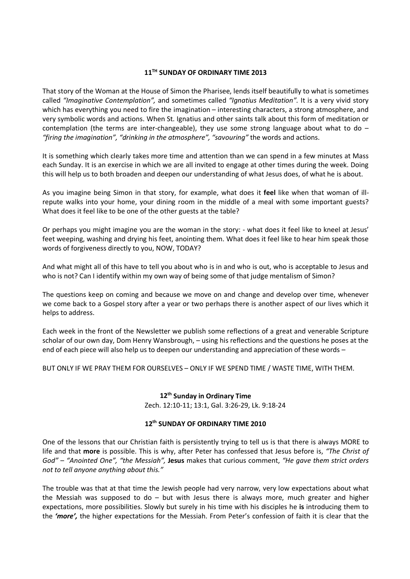### **11TH SUNDAY OF ORDINARY TIME 2013**

That story of the Woman at the House of Simon the Pharisee, lends itself beautifully to what is sometimes called *"Imaginative Contemplation",* and sometimes called *"Ignatius Meditation".* It is a very vivid story which has everything you need to fire the imagination – interesting characters, a strong atmosphere, and very symbolic words and actions. When St. Ignatius and other saints talk about this form of meditation or contemplation (the terms are inter-changeable), they use some strong language about what to do  $-$ *"firing the imagination", "drinking in the atmosphere", "savouring"* the words and actions.

It is something which clearly takes more time and attention than we can spend in a few minutes at Mass each Sunday. It is an exercise in which we are all invited to engage at other times during the week. Doing this will help us to both broaden and deepen our understanding of what Jesus does, of what he is about.

As you imagine being Simon in that story, for example, what does it **feel** like when that woman of illrepute walks into your home, your dining room in the middle of a meal with some important guests? What does it feel like to be one of the other guests at the table?

Or perhaps you might imagine you are the woman in the story: - what does it feel like to kneel at Jesus' feet weeping, washing and drying his feet, anointing them. What does it feel like to hear him speak those words of forgiveness directly to you, NOW, TODAY?

And what might all of this have to tell you about who is in and who is out, who is acceptable to Jesus and who is not? Can I identify within my own way of being some of that judge mentalism of Simon?

The questions keep on coming and because we move on and change and develop over time, whenever we come back to a Gospel story after a year or two perhaps there is another aspect of our lives which it helps to address.

Each week in the front of the Newsletter we publish some reflections of a great and venerable Scripture scholar of our own day, Dom Henry Wansbrough, – using his reflections and the questions he poses at the end of each piece will also help us to deepen our understanding and appreciation of these words –

BUT ONLY IF WE PRAY THEM FOR OURSELVES – ONLY IF WE SPEND TIME / WASTE TIME, WITH THEM.

# **12th Sunday in Ordinary Time**

Zech. 12:10-11; 13:1, Gal. 3:26-29, Lk. 9:18-24

# **12th SUNDAY OF ORDINARY TIME 2010**

One of the lessons that our Christian faith is persistently trying to tell us is that there is always MORE to life and that **more** is possible. This is why, after Peter has confessed that Jesus before is, *"The Christ of God"* – *"Anointed One", "the Messiah",* **Jesus** makes that curious comment, *"He gave them strict orders not to tell anyone anything about this."*

The trouble was that at that time the Jewish people had very narrow, very low expectations about what the Messiah was supposed to do – but with Jesus there is always more, much greater and higher expectations, more possibilities. Slowly but surely in his time with his disciples he **is** introducing them to the *'more',* the higher expectations for the Messiah. From Peter's confession of faith it is clear that the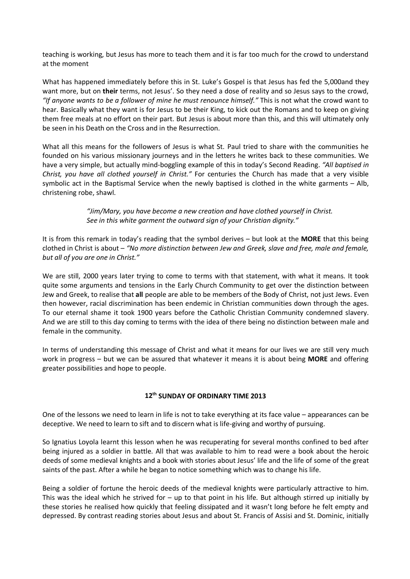teaching is working, but Jesus has more to teach them and it is far too much for the crowd to understand at the moment

What has happened immediately before this in St. Luke's Gospel is that Jesus has fed the 5,000and they want more, but on **their** terms, not Jesus'. So they need a dose of reality and so Jesus says to the crowd, *"If anyone wants to be a follower of mine he must renounce himself."* This is not what the crowd want to hear. Basically what they want is for Jesus to be their King, to kick out the Romans and to keep on giving them free meals at no effort on their part. But Jesus is about more than this, and this will ultimately only be seen in his Death on the Cross and in the Resurrection.

What all this means for the followers of Jesus is what St. Paul tried to share with the communities he founded on his various missionary journeys and in the letters he writes back to these communities. We have a very simple, but actually mind-boggling example of this in today's Second Reading. *"All baptised in Christ, you have all clothed yourself in Christ."* For centuries the Church has made that a very visible symbolic act in the Baptismal Service when the newly baptised is clothed in the white garments – Alb, christening robe, shawl.

> *"Jim/Mary, you have become a new creation and have clothed yourself in Christ. See in this white garment the outward sign of your Christian dignity."*

It is from this remark in today's reading that the symbol derives – but look at the **MORE** that this being clothed in Christ is about – *"No more distinction between Jew and Greek, slave and free, male and female, but all of you are one in Christ."*

We are still, 2000 years later trying to come to terms with that statement, with what it means. It took quite some arguments and tensions in the Early Church Community to get over the distinction between Jew and Greek, to realise that **all** people are able to be members of the Body of Christ, not just Jews. Even then however, racial discrimination has been endemic in Christian communities down through the ages. To our eternal shame it took 1900 years before the Catholic Christian Community condemned slavery. And we are still to this day coming to terms with the idea of there being no distinction between male and female in the community.

In terms of understanding this message of Christ and what it means for our lives we are still very much work in progress – but we can be assured that whatever it means it is about being **MORE** and offering greater possibilities and hope to people.

#### **12th SUNDAY OF ORDINARY TIME 2013**

One of the lessons we need to learn in life is not to take everything at its face value – appearances can be deceptive. We need to learn to sift and to discern what is life-giving and worthy of pursuing.

So Ignatius Loyola learnt this lesson when he was recuperating for several months confined to bed after being injured as a soldier in battle. All that was available to him to read were a book about the heroic deeds of some medieval knights and a book with stories about Jesus' life and the life of some of the great saints of the past. After a while he began to notice something which was to change his life.

Being a soldier of fortune the heroic deeds of the medieval knights were particularly attractive to him. This was the ideal which he strived for – up to that point in his life. But although stirred up initially by these stories he realised how quickly that feeling dissipated and it wasn't long before he felt empty and depressed. By contrast reading stories about Jesus and about St. Francis of Assisi and St. Dominic, initially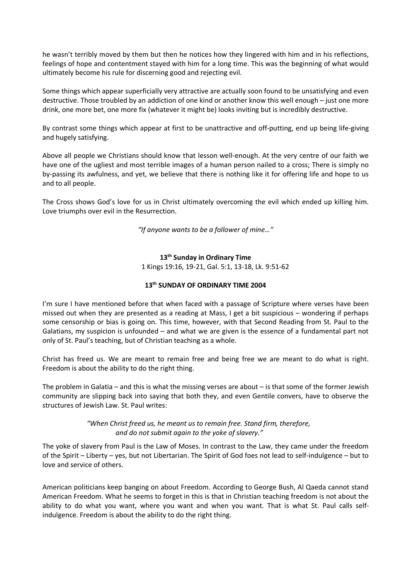he wasn't terribly moved by them but then he notices how they lingered with him and in his reflections, feelings of hope and contentment stayed with him for a long time. This was the beginning of what would ultimately become his rule for discerning good and rejecting evil.

Some things which appear superficially very attractive are actually soon found to be unsatisfying and even destructive. Those troubled by an addiction of one kind or another know this well enough – just one more drink, one more bet, one more fix (whatever it might be) looks inviting but is incredibly destructive.

By contrast some things which appear at first to be unattractive and off-putting, end up being life-giving and hugely satisfying.

Above all people we Christians should know that lesson well-enough. At the very centre of our faith we have one of the ugliest and most terrible images of a human person nailed to a cross; There is simply no by-passing its awfulness, and yet, we believe that there is nothing like it for offering life and hope to us and to all people.

The Cross shows God's love for us in Christ ultimately overcoming the evil which ended up killing him. Love triumphs over evil in the Resurrection.

*"If anyone wants to be a follower of mine…"*

### **13th Sunday in Ordinary Time** 1 Kings 19:16, 19-21, Gal. 5:1, 13-18, Lk. 9:51-62

# **13th SUNDAY OF ORDINARY TIME 2004**

I'm sure I have mentioned before that when faced with a passage of Scripture where verses have been missed out when they are presented as a reading at Mass, I get a bit suspicious – wondering if perhaps some censorship or bias is going on. This time, however, with that Second Reading from St. Paul to the Galatians, my suspicion is unfounded – and what we are given is the essence of a fundamental part not only of St. Paul's teaching, but of Christian teaching as a whole.

Christ has freed us. We are meant to remain free and being free we are meant to do what is right. Freedom is about the ability to do the right thing.

The problem in Galatia – and this is what the missing verses are about – is that some of the former Jewish community are slipping back into saying that both they, and even Gentile convers, have to observe the structures of Jewish Law. St. Paul writes:

> *"When Christ freed us, he meant us to remain free. Stand firm, therefore, and do not submit again to the yoke of slavery."*

The yoke of slavery from Paul is the Law of Moses. In contrast to the Law, they came under the freedom of the Spirit – Liberty – yes, but not Libertarian. The Spirit of God foes not lead to self-indulgence – but to love and service of others.

American politicians keep banging on about Freedom. According to George Bush, Al Qaeda cannot stand American Freedom. What he seems to forget in this is that in Christian teaching freedom is not about the ability to do what you want, where you want and when you want. That is what St. Paul calls selfindulgence. Freedom is about the ability to do the right thing.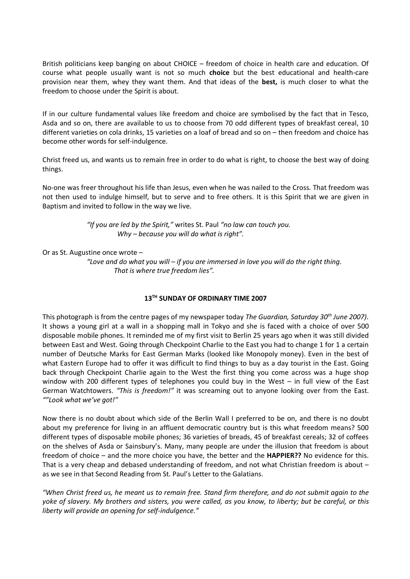British politicians keep banging on about CHOICE – freedom of choice in health care and education. Of course what people usually want is not so much **choice** but the best educational and health-care provision near them, whey they want them. And that ideas of the **best,** is much closer to what the freedom to choose under the Spirit is about.

If in our culture fundamental values like freedom and choice are symbolised by the fact that in Tesco, Asda and so on, there are available to us to choose from 70 odd different types of breakfast cereal, 10 different varieties on cola drinks, 15 varieties on a loaf of bread and so on – then freedom and choice has become other words for self-indulgence.

Christ freed us, and wants us to remain free in order to do what is right, to choose the best way of doing things.

No-one was freer throughout his life than Jesus, even when he was nailed to the Cross. That freedom was not then used to indulge himself, but to serve and to free others. It is this Spirit that we are given in Baptism and invited to follow in the way we live.

> *"If you are led by the Spirit,"* writes St. Paul *"no law can touch you. Why – because you will do what is right".*

# Or as St. Augustine once wrote –

*"Love and do what you will – if you are immersed in love you will do the right thing. That is where true freedom lies".*

# **13TH SUNDAY OF ORDINARY TIME 2007**

This photograph is from the centre pages of my newspaper today *The Guardian, Saturday 30th June 2007)*. It shows a young girl at a wall in a shopping mall in Tokyo and she is faced with a choice of over 500 disposable mobile phones. It reminded me of my first visit to Berlin 25 years ago when it was still divided between East and West. Going through Checkpoint Charlie to the East you had to change 1 for 1 a certain number of Deutsche Marks for East German Marks (looked like Monopoly money). Even in the best of what Eastern Europe had to offer it was difficult to find things to buy as a day tourist in the East. Going back through Checkpoint Charlie again to the West the first thing you come across was a huge shop window with 200 different types of telephones you could buy in the West – in full view of the East German Watchtowers. *"This is freedom!"* it was screaming out to anyone looking over from the East. *""Look what we've got!"*

Now there is no doubt about which side of the Berlin Wall I preferred to be on, and there is no doubt about my preference for living in an affluent democratic country but is this what freedom means? 500 different types of disposable mobile phones; 36 varieties of breads, 45 of breakfast cereals; 32 of coffees on the shelves of Asda or Sainsbury's. Many, many people are under the illusion that freedom is about freedom of choice – and the more choice you have, the better and the **HAPPIER??** No evidence for this. That is a very cheap and debased understanding of freedom, and not what Christian freedom is about – as we see in that Second Reading from St. Paul's Letter to the Galatians.

*"When Christ freed us, he meant us to remain free. Stand firm therefore, and do not submit again to the yoke of slavery. My brothers and sisters, you were called, as you know, to liberty; but be careful, or this liberty will provide an opening for self-indulgence."*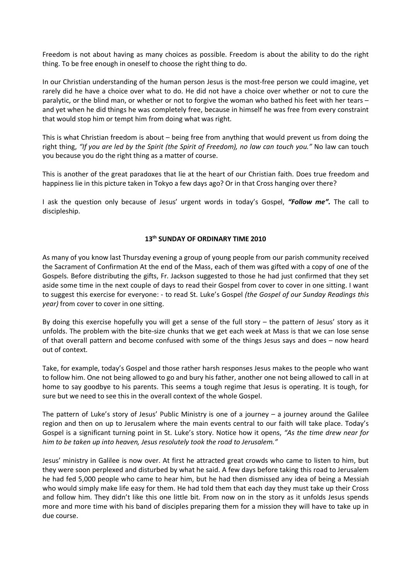Freedom is not about having as many choices as possible. Freedom is about the ability to do the right thing. To be free enough in oneself to choose the right thing to do.

In our Christian understanding of the human person Jesus is the most-free person we could imagine, yet rarely did he have a choice over what to do. He did not have a choice over whether or not to cure the paralytic, or the blind man, or whether or not to forgive the woman who bathed his feet with her tears – and yet when he did things he was completely free, because in himself he was free from every constraint that would stop him or tempt him from doing what was right.

This is what Christian freedom is about – being free from anything that would prevent us from doing the right thing, *"If you are led by the Spirit (the Spirit of Freedom), no law can touch you."* No law can touch you because you do the right thing as a matter of course.

This is another of the great paradoxes that lie at the heart of our Christian faith. Does true freedom and happiness lie in this picture taken in Tokyo a few days ago? Or in that Cross hanging over there?

I ask the question only because of Jesus' urgent words in today's Gospel, *"Follow me".* The call to discipleship.

#### **13th SUNDAY OF ORDINARY TIME 2010**

As many of you know last Thursday evening a group of young people from our parish community received the Sacrament of Confirmation At the end of the Mass, each of them was gifted with a copy of one of the Gospels. Before distributing the gifts, Fr. Jackson suggested to those he had just confirmed that they set aside some time in the next couple of days to read their Gospel from cover to cover in one sitting. I want to suggest this exercise for everyone: - to read St. Luke's Gospel *(the Gospel of our Sunday Readings this year)* from cover to cover in one sitting.

By doing this exercise hopefully you will get a sense of the full story – the pattern of Jesus' story as it unfolds. The problem with the bite-size chunks that we get each week at Mass is that we can lose sense of that overall pattern and become confused with some of the things Jesus says and does – now heard out of context.

Take, for example, today's Gospel and those rather harsh responses Jesus makes to the people who want to follow him. One not being allowed to go and bury his father, another one not being allowed to call in at home to say goodbye to his parents. This seems a tough regime that Jesus is operating. It is tough, for sure but we need to see this in the overall context of the whole Gospel.

The pattern of Luke's story of Jesus' Public Ministry is one of a journey – a journey around the Galilee region and then on up to Jerusalem where the main events central to our faith will take place. Today's Gospel is a significant turning point in St. Luke's story. Notice how it opens, *"As the time drew near for him to be taken up into heaven, Jesus resolutely took the road to Jerusalem."*

Jesus' ministry in Galilee is now over. At first he attracted great crowds who came to listen to him, but they were soon perplexed and disturbed by what he said. A few days before taking this road to Jerusalem he had fed 5,000 people who came to hear him, but he had then dismissed any idea of being a Messiah who would simply make life easy for them. He had told them that each day they must take up their Cross and follow him. They didn't like this one little bit. From now on in the story as it unfolds Jesus spends more and more time with his band of disciples preparing them for a mission they will have to take up in due course.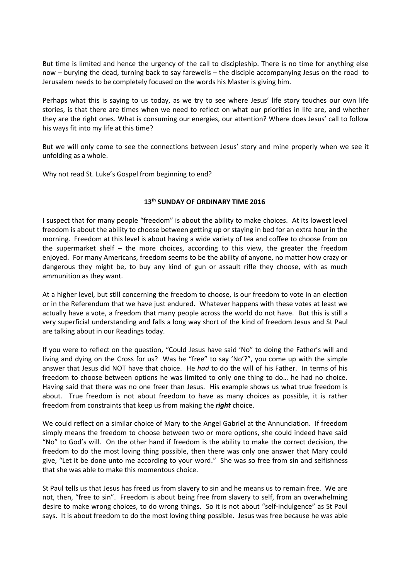But time is limited and hence the urgency of the call to discipleship. There is no time for anything else now – burying the dead, turning back to say farewells – the disciple accompanying Jesus on the road to Jerusalem needs to be completely focused on the words his Master is giving him.

Perhaps what this is saying to us today, as we try to see where Jesus' life story touches our own life stories, is that there are times when we need to reflect on what our priorities in life are, and whether they are the right ones. What is consuming our energies, our attention? Where does Jesus' call to follow his ways fit into my life at this time?

But we will only come to see the connections between Jesus' story and mine properly when we see it unfolding as a whole.

Why not read St. Luke's Gospel from beginning to end?

# **13th SUNDAY OF ORDINARY TIME 2016**

I suspect that for many people "freedom" is about the ability to make choices. At its lowest level freedom is about the ability to choose between getting up or staying in bed for an extra hour in the morning. Freedom at this level is about having a wide variety of tea and coffee to choose from on the supermarket shelf – the more choices, according to this view, the greater the freedom enjoyed. For many Americans, freedom seems to be the ability of anyone, no matter how crazy or dangerous they might be, to buy any kind of gun or assault rifle they choose, with as much ammunition as they want.

At a higher level, but still concerning the freedom to choose, is our freedom to vote in an election or in the Referendum that we have just endured. Whatever happens with these votes at least we actually have a vote, a freedom that many people across the world do not have. But this is still a very superficial understanding and falls a long way short of the kind of freedom Jesus and St Paul are talking about in our Readings today.

If you were to reflect on the question, "Could Jesus have said 'No" to doing the Father's will and living and dying on the Cross for us? Was he "free" to say 'No'?", you come up with the simple answer that Jesus did NOT have that choice. He *had* to do the will of his Father. In terms of his freedom to choose between options he was limited to only one thing to do… he had no choice. Having said that there was no one freer than Jesus. His example shows us what true freedom is about. True freedom is not about freedom to have as many choices as possible, it is rather freedom from constraints that keep us from making the *right* choice.

We could reflect on a similar choice of Mary to the Angel Gabriel at the Annunciation. If freedom simply means the freedom to choose between two or more options, she could indeed have said "No" to God's will. On the other hand if freedom is the ability to make the correct decision, the freedom to do the most loving thing possible, then there was only one answer that Mary could give, "Let it be done unto me according to your word." She was so free from sin and selfishness that she was able to make this momentous choice.

St Paul tells us that Jesus has freed us from slavery to sin and he means us to remain free. We are not, then, "free to sin". Freedom is about being free from slavery to self, from an overwhelming desire to make wrong choices, to do wrong things. So it is not about "self-indulgence" as St Paul says. It is about freedom to do the most loving thing possible. Jesus was free because he was able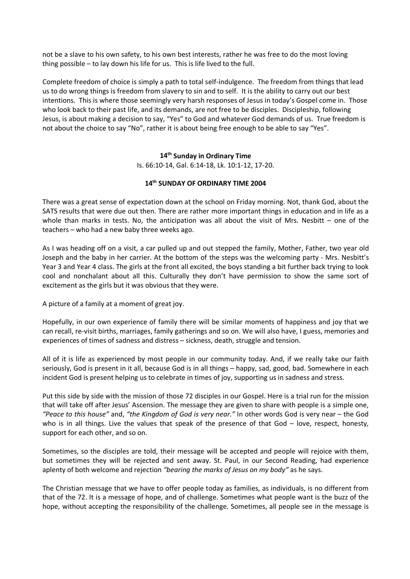not be a slave to his own safety, to his own best interests, rather he was free to do the most loving thing possible – to lay down his life for us. This is life lived to the full.

Complete freedom of choice is simply a path to total self-indulgence. The freedom from things that lead us to do wrong things is freedom from slavery to sin and to self. It is the ability to carry out our best intentions. This is where those seemingly very harsh responses of Jesus in today's Gospel come in. Those who look back to their past life, and its demands, are not free to be disciples. Discipleship, following Jesus, is about making a decision to say, "Yes" to God and whatever God demands of us. True freedom is not about the choice to say "No", rather it is about being free enough to be able to say "Yes".

#### **14th Sunday in Ordinary Time**

Is. 66:10-14, Gal. 6:14-18, Lk. 10:1-12, 17-20.

#### **14th SUNDAY OF ORDINARY TIME 2004**

There was a great sense of expectation down at the school on Friday morning. Not, thank God, about the SATS results that were due out then. There are rather more important things in education and in life as a whole than marks in tests. No, the anticipation was all about the visit of Mrs. Nesbitt – one of the teachers – who had a new baby three weeks ago.

As I was heading off on a visit, a car pulled up and out stepped the family, Mother, Father, two year old Joseph and the baby in her carrier. At the bottom of the steps was the welcoming party - Mrs. Nesbitt's Year 3 and Year 4 class. The girls at the front all excited, the boys standing a bit further back trying to look cool and nonchalant about all this. Culturally they don't have permission to show the same sort of excitement as the girls but it was obvious that they were.

A picture of a family at a moment of great joy.

Hopefully, in our own experience of family there will be similar moments of happiness and joy that we can recall, re-visit births, marriages, family gatherings and so on. We will also have, I guess, memories and experiences of times of sadness and distress – sickness, death, struggle and tension.

All of it is life as experienced by most people in our community today. And, if we really take our faith seriously, God is present in it all, because God is in all things – happy, sad, good, bad. Somewhere in each incident God is present helping us to celebrate in times of joy, supporting us in sadness and stress.

Put this side by side with the mission of those 72 disciples in our Gospel. Here is a trial run for the mission that will take off after Jesus' Ascension. The message they are given to share with people is a simple one, *"Peace to this house"* and, *"the Kingdom of God is very near."* In other words God is very near – the God who is in all things. Live the values that speak of the presence of that God – love, respect, honesty, support for each other, and so on.

Sometimes, so the disciples are told, their message will be accepted and people will rejoice with them, but sometimes they will be rejected and sent away. St. Paul, in our Second Reading, had experience aplenty of both welcome and rejection *"bearing the marks of Jesus on my body"* as he says.

The Christian message that we have to offer people today as families, as individuals, is no different from that of the 72. It is a message of hope, and of challenge. Sometimes what people want is the buzz of the hope, without accepting the responsibility of the challenge. Sometimes, all people see in the message is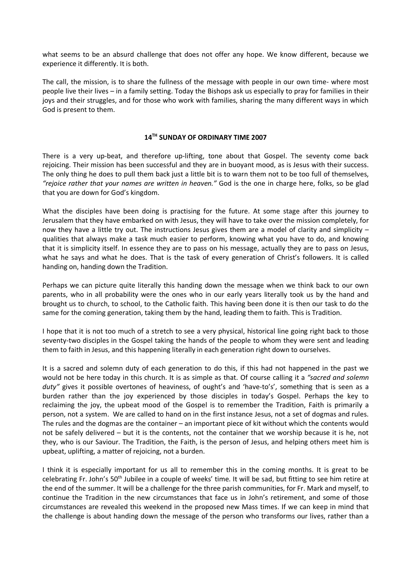what seems to be an absurd challenge that does not offer any hope. We know different, because we experience it differently. It is both.

The call, the mission, is to share the fullness of the message with people in our own time- where most people live their lives – in a family setting. Today the Bishops ask us especially to pray for families in their joys and their struggles, and for those who work with families, sharing the many different ways in which God is present to them.

#### **14TH SUNDAY OF ORDINARY TIME 2007**

There is a very up-beat, and therefore up-lifting, tone about that Gospel. The seventy come back rejoicing. Their mission has been successful and they are in buoyant mood, as is Jesus with their success. The only thing he does to pull them back just a little bit is to warn them not to be too full of themselves, *"rejoice rather that your names are written in heaven."* God is the one in charge here, folks, so be glad that you are down for God's kingdom.

What the disciples have been doing is practising for the future. At some stage after this journey to Jerusalem that they have embarked on with Jesus, they will have to take over the mission completely, for now they have a little try out. The instructions Jesus gives them are a model of clarity and simplicity – qualities that always make a task much easier to perform, knowing what you have to do, and knowing that it is simplicity itself. In essence they are to pass on his message, actually they are to pass on Jesus, what he says and what he does. That is the task of every generation of Christ's followers. It is called handing on, handing down the Tradition.

Perhaps we can picture quite literally this handing down the message when we think back to our own parents, who in all probability were the ones who in our early years literally took us by the hand and brought us to church, to school, to the Catholic faith. This having been done it is then our task to do the same for the coming generation, taking them by the hand, leading them to faith. This is Tradition.

I hope that it is not too much of a stretch to see a very physical, historical line going right back to those seventy-two disciples in the Gospel taking the hands of the people to whom they were sent and leading them to faith in Jesus, and this happening literally in each generation right down to ourselves.

It is a sacred and solemn duty of each generation to do this, if this had not happened in the past we would not be here today in this church. It is as simple as that. Of course calling it a *"sacred and solemn*  duty" gives it possible overtones of heaviness, of ought's and 'have-to's', something that is seen as a burden rather than the joy experienced by those disciples in today's Gospel. Perhaps the key to reclaiming the joy, the upbeat mood of the Gospel is to remember the Tradition, Faith is primarily a person, not a system. We are called to hand on in the first instance Jesus, not a set of dogmas and rules. The rules and the dogmas are the container – an important piece of kit without which the contents would not be safely delivered – but it is the contents, not the container that we worship because it is he, not they, who is our Saviour. The Tradition, the Faith, is the person of Jesus, and helping others meet him is upbeat, uplifting, a matter of rejoicing, not a burden.

I think it is especially important for us all to remember this in the coming months. It is great to be celebrating Fr. John's 50th Jubilee in a couple of weeks' time. It will be sad, but fitting to see him retire at the end of the summer. It will be a challenge for the three parish communities, for Fr. Mark and myself, to continue the Tradition in the new circumstances that face us in John's retirement, and some of those circumstances are revealed this weekend in the proposed new Mass times. If we can keep in mind that the challenge is about handing down the message of the person who transforms our lives, rather than a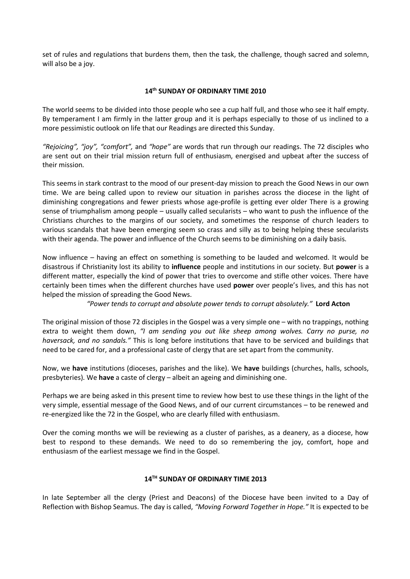set of rules and regulations that burdens them, then the task, the challenge, though sacred and solemn, will also be a joy.

### **14th SUNDAY OF ORDINARY TIME 2010**

The world seems to be divided into those people who see a cup half full, and those who see it half empty. By temperament I am firmly in the latter group and it is perhaps especially to those of us inclined to a more pessimistic outlook on life that our Readings are directed this Sunday.

*"Rejoicing", "joy", "comfort",* and *"hope"* are words that run through our readings. The 72 disciples who are sent out on their trial mission return full of enthusiasm, energised and upbeat after the success of their mission.

This seems in stark contrast to the mood of our present-day mission to preach the Good News in our own time. We are being called upon to review our situation in parishes across the diocese in the light of diminishing congregations and fewer priests whose age-profile is getting ever older There is a growing sense of triumphalism among people – usually called secularists – who want to push the influence of the Christians churches to the margins of our society, and sometimes the response of church leaders to various scandals that have been emerging seem so crass and silly as to being helping these secularists with their agenda. The power and influence of the Church seems to be diminishing on a daily basis.

Now influence – having an effect on something is something to be lauded and welcomed. It would be disastrous if Christianity lost its ability to **influence** people and institutions in our society. But **power** is a different matter, especially the kind of power that tries to overcome and stifle other voices. There have certainly been times when the different churches have used **power** over people's lives, and this has not helped the mission of spreading the Good News.

*"Power tends to corrupt and absolute power tends to corrupt absolutely."* **Lord Acton**

The original mission of those 72 disciples in the Gospel was a very simple one – with no trappings, nothing extra to weight them down, *"I am sending you out like sheep among wolves. Carry no purse, no haversack, and no sandals."* This is long before institutions that have to be serviced and buildings that need to be cared for, and a professional caste of clergy that are set apart from the community.

Now, we **have** institutions (dioceses, parishes and the like). We **have** buildings (churches, halls, schools, presbyteries). We **have** a caste of clergy – albeit an ageing and diminishing one.

Perhaps we are being asked in this present time to review how best to use these things in the light of the very simple, essential message of the Good News, and of our current circumstances – to be renewed and re-energized like the 72 in the Gospel, who are clearly filled with enthusiasm.

Over the coming months we will be reviewing as a cluster of parishes, as a deanery, as a diocese, how best to respond to these demands. We need to do so remembering the joy, comfort, hope and enthusiasm of the earliest message we find in the Gospel.

#### **14TH SUNDAY OF ORDINARY TIME 2013**

In late September all the clergy (Priest and Deacons) of the Diocese have been invited to a Day of Reflection with Bishop Seamus. The day is called, *"Moving Forward Together in Hope."* It is expected to be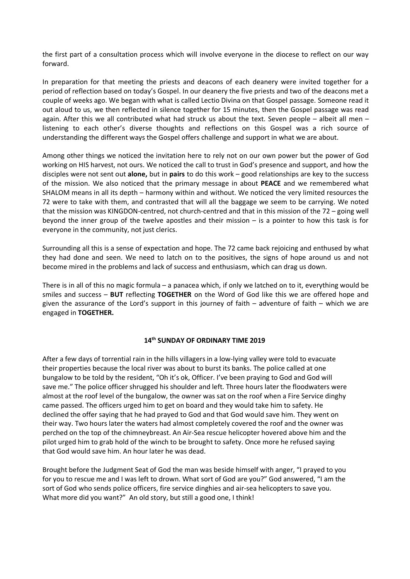the first part of a consultation process which will involve everyone in the diocese to reflect on our way forward.

In preparation for that meeting the priests and deacons of each deanery were invited together for a period of reflection based on today's Gospel. In our deanery the five priests and two of the deacons met a couple of weeks ago. We began with what is called Lectio Divina on that Gospel passage. Someone read it out aloud to us, we then reflected in silence together for 15 minutes, then the Gospel passage was read again. After this we all contributed what had struck us about the text. Seven people – albeit all men – listening to each other's diverse thoughts and reflections on this Gospel was a rich source of understanding the different ways the Gospel offers challenge and support in what we are about.

Among other things we noticed the invitation here to rely not on our own power but the power of God working on HIS harvest, not ours. We noticed the call to trust in God's presence and support, and how the disciples were not sent out **alone,** but in **pairs** to do this work – good relationships are key to the success of the mission. We also noticed that the primary message in about **PEACE** and we remembered what SHALOM means in all its depth – harmony within and without. We noticed the very limited resources the 72 were to take with them, and contrasted that will all the baggage we seem to be carrying. We noted that the mission was KINGDON-centred, not church-centred and that in this mission of the 72 – going well beyond the inner group of the twelve apostles and their mission – is a pointer to how this task is for everyone in the community, not just clerics.

Surrounding all this is a sense of expectation and hope. The 72 came back rejoicing and enthused by what they had done and seen. We need to latch on to the positives, the signs of hope around us and not become mired in the problems and lack of success and enthusiasm, which can drag us down.

There is in all of this no magic formula – a panacea which, if only we latched on to it, everything would be smiles and success – **BUT** reflecting **TOGETHER** on the Word of God like this we are offered hope and given the assurance of the Lord's support in this journey of faith – adventure of faith – which we are engaged in **TOGETHER.**

# **14th SUNDAY OF ORDINARY TIME 2019**

After a few days of torrential rain in the hills villagers in a low-lying valley were told to evacuate their properties because the local river was about to burst its banks. The police called at one bungalow to be told by the resident, "Oh it's ok, Officer. I've been praying to God and God will save me." The police officer shrugged his shoulder and left. Three hours later the floodwaters were almost at the roof level of the bungalow, the owner was sat on the roof when a Fire Service dinghy came passed. The officers urged him to get on board and they would take him to safety. He declined the offer saying that he had prayed to God and that God would save him. They went on their way. Two hours later the waters had almost completely covered the roof and the owner was perched on the top of the chimneybreast. An Air-Sea rescue helicopter hovered above him and the pilot urged him to grab hold of the winch to be brought to safety. Once more he refused saying that God would save him. An hour later he was dead.

Brought before the Judgment Seat of God the man was beside himself with anger, "I prayed to you for you to rescue me and I was left to drown. What sort of God are you?" God answered, "I am the sort of God who sends police officers, fire service dinghies and air-sea helicopters to save you. What more did you want?" An old story, but still a good one, I think!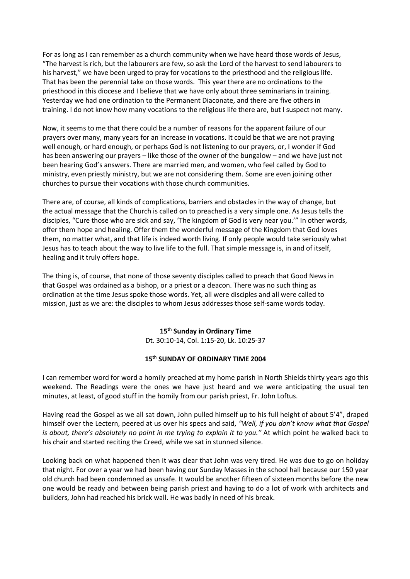For as long as I can remember as a church community when we have heard those words of Jesus, "The harvest is rich, but the labourers are few, so ask the Lord of the harvest to send labourers to his harvest," we have been urged to pray for vocations to the priesthood and the religious life. That has been the perennial take on those words. This year there are no ordinations to the priesthood in this diocese and I believe that we have only about three seminarians in training. Yesterday we had one ordination to the Permanent Diaconate, and there are five others in training. I do not know how many vocations to the religious life there are, but I suspect not many.

Now, it seems to me that there could be a number of reasons for the apparent failure of our prayers over many, many years for an increase in vocations. It could be that we are not praying well enough, or hard enough, or perhaps God is not listening to our prayers, or, I wonder if God has been answering our prayers – like those of the owner of the bungalow – and we have just not been hearing God's answers. There are married men, and women, who feel called by God to ministry, even priestly ministry, but we are not considering them. Some are even joining other churches to pursue their vocations with those church communities.

There are, of course, all kinds of complications, barriers and obstacles in the way of change, but the actual message that the Church is called on to preached is a very simple one. As Jesus tells the disciples, "Cure those who are sick and say, 'The kingdom of God is very near you.'" In other words, offer them hope and healing. Offer them the wonderful message of the Kingdom that God loves them, no matter what, and that life is indeed worth living. If only people would take seriously what Jesus has to teach about the way to live life to the full. That simple message is, in and of itself, healing and it truly offers hope.

The thing is, of course, that none of those seventy disciples called to preach that Good News in that Gospel was ordained as a bishop, or a priest or a deacon. There was no such thing as ordination at the time Jesus spoke those words. Yet, all were disciples and all were called to mission, just as we are: the disciples to whom Jesus addresses those self-same words today.

> **15th Sunday in Ordinary Time** Dt. 30:10-14, Col. 1:15-20, Lk. 10:25-37

#### **15th SUNDAY OF ORDINARY TIME 2004**

I can remember word for word a homily preached at my home parish in North Shields thirty years ago this weekend. The Readings were the ones we have just heard and we were anticipating the usual ten minutes, at least, of good stuff in the homily from our parish priest, Fr. John Loftus.

Having read the Gospel as we all sat down, John pulled himself up to his full height of about 5'4", draped himself over the Lectern, peered at us over his specs and said, *"Well, if you don't know what that Gospel is about, there's absolutely no point in me trying to explain it to you."* At which point he walked back to his chair and started reciting the Creed, while we sat in stunned silence.

Looking back on what happened then it was clear that John was very tired. He was due to go on holiday that night. For over a year we had been having our Sunday Masses in the school hall because our 150 year old church had been condemned as unsafe. It would be another fifteen of sixteen months before the new one would be ready and between being parish priest and having to do a lot of work with architects and builders, John had reached his brick wall. He was badly in need of his break.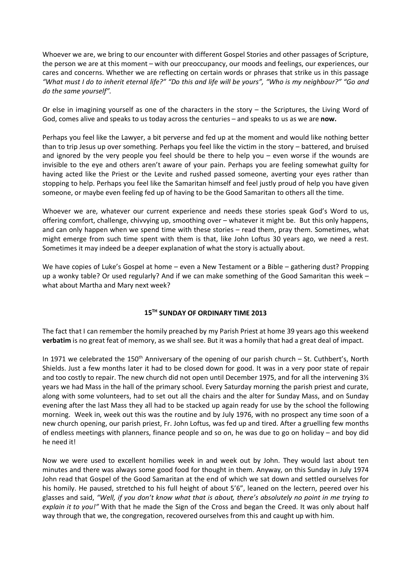Whoever we are, we bring to our encounter with different Gospel Stories and other passages of Scripture, the person we are at this moment – with our preoccupancy, our moods and feelings, our experiences, our cares and concerns. Whether we are reflecting on certain words or phrases that strike us in this passage *"What must I do to inherit eternal life?" "Do this and life will be yours", "Who is my neighbour?" "Go and do the same yourself".*

Or else in imagining yourself as one of the characters in the story – the Scriptures, the Living Word of God, comes alive and speaks to us today across the centuries – and speaks to us as we are **now.**

Perhaps you feel like the Lawyer, a bit perverse and fed up at the moment and would like nothing better than to trip Jesus up over something. Perhaps you feel like the victim in the story – battered, and bruised and ignored by the very people you feel should be there to help you – even worse if the wounds are invisible to the eye and others aren't aware of your pain. Perhaps you are feeling somewhat guilty for having acted like the Priest or the Levite and rushed passed someone, averting your eyes rather than stopping to help. Perhaps you feel like the Samaritan himself and feel justly proud of help you have given someone, or maybe even feeling fed up of having to be the Good Samaritan to others all the time.

Whoever we are, whatever our current experience and needs these stories speak God's Word to us, offering comfort, challenge, chivvying up, smoothing over – whatever it might be. But this only happens, and can only happen when we spend time with these stories – read them, pray them. Sometimes, what might emerge from such time spent with them is that, like John Loftus 30 years ago, we need a rest. Sometimes it may indeed be a deeper explanation of what the story is actually about.

We have copies of Luke's Gospel at home – even a New Testament or a Bible – gathering dust? Propping up a wonky table? Or used regularly? And if we can make something of the Good Samaritan this week – what about Martha and Mary next week?

# **15TH SUNDAY OF ORDINARY TIME 2013**

The fact that I can remember the homily preached by my Parish Priest at home 39 years ago this weekend **verbatim** is no great feat of memory, as we shall see. But it was a homily that had a great deal of impact.

In 1971 we celebrated the 150<sup>th</sup> Anniversary of the opening of our parish church – St. Cuthbert's, North Shields. Just a few months later it had to be closed down for good. It was in a very poor state of repair and too costly to repair. The new church did not open until December 1975, and for all the intervening 3½ years we had Mass in the hall of the primary school. Every Saturday morning the parish priest and curate, along with some volunteers, had to set out all the chairs and the alter for Sunday Mass, and on Sunday evening after the last Mass they all had to be stacked up again ready for use by the school the following morning. Week in, week out this was the routine and by July 1976, with no prospect any time soon of a new church opening, our parish priest, Fr. John Loftus, was fed up and tired. After a gruelling few months of endless meetings with planners, finance people and so on, he was due to go on holiday – and boy did he need it!

Now we were used to excellent homilies week in and week out by John. They would last about ten minutes and there was always some good food for thought in them. Anyway, on this Sunday in July 1974 John read that Gospel of the Good Samaritan at the end of which we sat down and settled ourselves for his homily. He paused, stretched to his full height of about 5'6", leaned on the lectern, peered over his glasses and said, *"Well, if you don't know what that is about, there's absolutely no point in me trying to explain it to you!"* With that he made the Sign of the Cross and began the Creed. It was only about half way through that we, the congregation, recovered ourselves from this and caught up with him.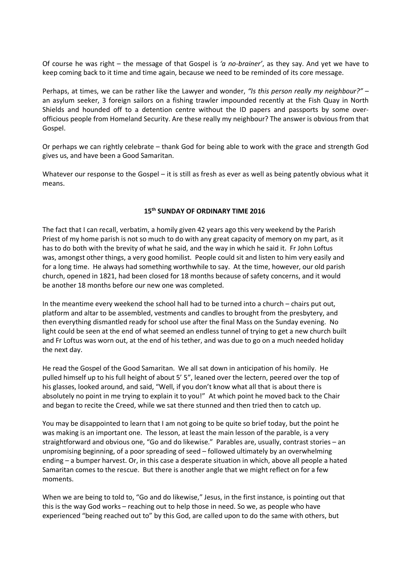Of course he was right – the message of that Gospel is *'a no-brainer'*, as they say. And yet we have to keep coming back to it time and time again, because we need to be reminded of its core message.

Perhaps, at times, we can be rather like the Lawyer and wonder, *"Is this person really my neighbour?"* – an asylum seeker, 3 foreign sailors on a fishing trawler impounded recently at the Fish Quay in North Shields and hounded off to a detention centre without the ID papers and passports by some overofficious people from Homeland Security. Are these really my neighbour? The answer is obvious from that Gospel.

Or perhaps we can rightly celebrate – thank God for being able to work with the grace and strength God gives us, and have been a Good Samaritan.

Whatever our response to the Gospel – it is still as fresh as ever as well as being patently obvious what it means.

# **15th SUNDAY OF ORDINARY TIME 2016**

The fact that I can recall, verbatim, a homily given 42 years ago this very weekend by the Parish Priest of my home parish is not so much to do with any great capacity of memory on my part, as it has to do both with the brevity of what he said, and the way in which he said it. Fr John Loftus was, amongst other things, a very good homilist. People could sit and listen to him very easily and for a long time. He always had something worthwhile to say. At the time, however, our old parish church, opened in 1821, had been closed for 18 months because of safety concerns, and it would be another 18 months before our new one was completed.

In the meantime every weekend the school hall had to be turned into a church – chairs put out, platform and altar to be assembled, vestments and candles to brought from the presbytery, and then everything dismantled ready for school use after the final Mass on the Sunday evening. No light could be seen at the end of what seemed an endless tunnel of trying to get a new church built and Fr Loftus was worn out, at the end of his tether, and was due to go on a much needed holiday the next day.

He read the Gospel of the Good Samaritan. We all sat down in anticipation of his homily. He pulled himself up to his full height of about 5' 5", leaned over the lectern, peered over the top of his glasses, looked around, and said, "Well, if you don't know what all that is about there is absolutely no point in me trying to explain it to you!" At which point he moved back to the Chair and began to recite the Creed, while we sat there stunned and then tried then to catch up.

You may be disappointed to learn that I am not going to be quite so brief today, but the point he was making is an important one. The lesson, at least the main lesson of the parable, is a very straightforward and obvious one, "Go and do likewise." Parables are, usually, contrast stories – an unpromising beginning, of a poor spreading of seed – followed ultimately by an overwhelming ending – a bumper harvest. Or, in this case a desperate situation in which, above all people a hated Samaritan comes to the rescue. But there is another angle that we might reflect on for a few moments.

When we are being to told to, "Go and do likewise," Jesus, in the first instance, is pointing out that this is the way God works – reaching out to help those in need. So we, as people who have experienced "being reached out to" by this God, are called upon to do the same with others, but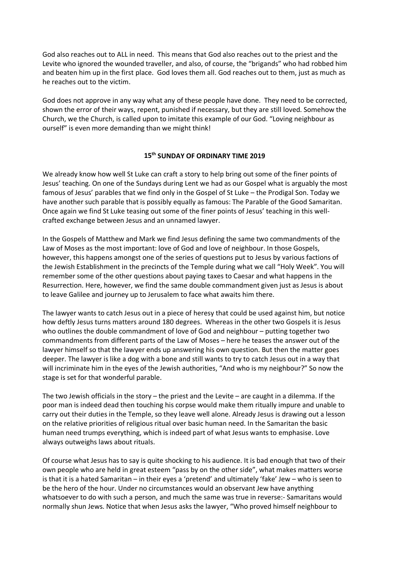God also reaches out to ALL in need. This means that God also reaches out to the priest and the Levite who ignored the wounded traveller, and also, of course, the "brigands" who had robbed him and beaten him up in the first place. God loves them all. God reaches out to them, just as much as he reaches out to the victim.

God does not approve in any way what any of these people have done. They need to be corrected, shown the error of their ways, repent, punished if necessary, but they are still loved. Somehow the Church, we the Church, is called upon to imitate this example of our God. "Loving neighbour as ourself" is even more demanding than we might think!

### **15th SUNDAY OF ORDINARY TIME 2019**

We already know how well St Luke can craft a story to help bring out some of the finer points of Jesus' teaching. On one of the Sundays during Lent we had as our Gospel what is arguably the most famous of Jesus' parables that we find only in the Gospel of St Luke – the Prodigal Son. Today we have another such parable that is possibly equally as famous: The Parable of the Good Samaritan. Once again we find St Luke teasing out some of the finer points of Jesus' teaching in this wellcrafted exchange between Jesus and an unnamed lawyer.

In the Gospels of Matthew and Mark we find Jesus defining the same two commandments of the Law of Moses as the most important: love of God and love of neighbour. In those Gospels, however, this happens amongst one of the series of questions put to Jesus by various factions of the Jewish Establishment in the precincts of the Temple during what we call "Holy Week". You will remember some of the other questions about paying taxes to Caesar and what happens in the Resurrection. Here, however, we find the same double commandment given just as Jesus is about to leave Galilee and journey up to Jerusalem to face what awaits him there.

The lawyer wants to catch Jesus out in a piece of heresy that could be used against him, but notice how deftly Jesus turns matters around 180 degrees. Whereas in the other two Gospels it is Jesus who outlines the double commandment of love of God and neighbour – putting together two commandments from different parts of the Law of Moses – here he teases the answer out of the lawyer himself so that the lawyer ends up answering his own question. But then the matter goes deeper. The lawyer is like a dog with a bone and still wants to try to catch Jesus out in a way that will incriminate him in the eyes of the Jewish authorities, "And who is my neighbour?" So now the stage is set for that wonderful parable.

The two Jewish officials in the story – the priest and the Levite – are caught in a dilemma. If the poor man is indeed dead then touching his corpse would make them ritually impure and unable to carry out their duties in the Temple, so they leave well alone. Already Jesus is drawing out a lesson on the relative priorities of religious ritual over basic human need. In the Samaritan the basic human need trumps everything, which is indeed part of what Jesus wants to emphasise. Love always outweighs laws about rituals.

Of course what Jesus has to say is quite shocking to his audience. It is bad enough that two of their own people who are held in great esteem "pass by on the other side", what makes matters worse is that it is a hated Samaritan – in their eyes a 'pretend' and ultimately 'fake' Jew – who is seen to be the hero of the hour. Under no circumstances would an observant Jew have anything whatsoever to do with such a person, and much the same was true in reverse:- Samaritans would normally shun Jews. Notice that when Jesus asks the lawyer, "Who proved himself neighbour to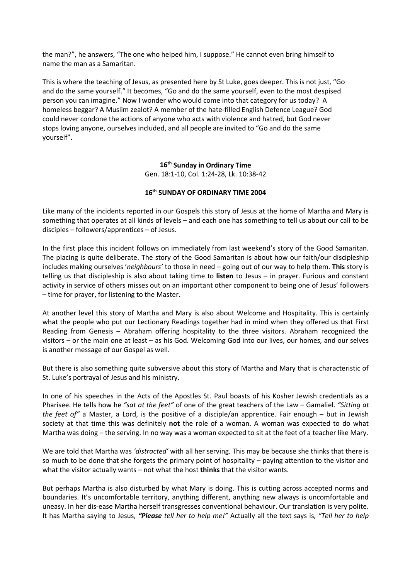the man?", he answers, "The one who helped him, I suppose." He cannot even bring himself to name the man as a Samaritan.

This is where the teaching of Jesus, as presented here by St Luke, goes deeper. This is not just, "Go and do the same yourself." It becomes, "Go and do the same yourself, even to the most despised person you can imagine." Now I wonder who would come into that category for us today? A homeless beggar? A Muslim zealot? A member of the hate-filled English Defence League? God could never condone the actions of anyone who acts with violence and hatred, but God never stops loving anyone, ourselves included, and all people are invited to "Go and do the same yourself".

# **16th Sunday in Ordinary Time**

Gen. 18:1-10, Col. 1:24-28, Lk. 10:38-42

# **16th SUNDAY OF ORDINARY TIME 2004**

Like many of the incidents reported in our Gospels this story of Jesus at the home of Martha and Mary is something that operates at all kinds of levels – and each one has something to tell us about our call to be disciples – followers/apprentices – of Jesus.

In the first place this incident follows on immediately from last weekend's story of the Good Samaritan. The placing is quite deliberate. The story of the Good Samaritan is about how our faith/our discipleship includes making ourselves '*neighbours'* to those in need – going out of our way to help them. **This** story is telling us that discipleship is also about taking time to **listen** to Jesus – in prayer. Furious and constant activity in service of others misses out on an important other component to being one of Jesus' followers – time for prayer, for listening to the Master.

At another level this story of Martha and Mary is also about Welcome and Hospitality. This is certainly what the people who put our Lectionary Readings together had in mind when they offered us that First Reading from Genesis – Abraham offering hospitality to the three visitors. Abraham recognized the visitors – or the main one at least – as his God. Welcoming God into our lives, our homes, and our selves is another message of our Gospel as well.

But there is also something quite subversive about this story of Martha and Mary that is characteristic of St. Luke's portrayal of Jesus and his ministry.

In one of his speeches in the Acts of the Apostles St. Paul boasts of his Kosher Jewish credentials as a Pharisee. He tells how he *"sat at the feet"* of one of the great teachers of the Law – Gamaliel. *"Sitting at the feet of"* a Master, a Lord, is the positive of a disciple/an apprentice. Fair enough – but in Jewish society at that time this was definitely **not** the role of a woman. A woman was expected to do what Martha was doing – the serving. In no way was a woman expected to sit at the feet of a teacher like Mary.

We are told that Martha was *'distracted'* with all her serving. This may be because she thinks that there is so much to be done that she forgets the primary point of hospitality – paying attention to the visitor and what the visitor actually wants – not what the host **thinks** that the visitor wants.

But perhaps Martha is also disturbed by what Mary is doing. This is cutting across accepted norms and boundaries. It's uncomfortable territory, anything different, anything new always is uncomfortable and uneasy. In her dis-ease Martha herself transgresses conventional behaviour. Our translation is very polite. It has Martha saying to Jesus, *"Please tell her to help me!"* Actually all the text says is, *"Tell her to help*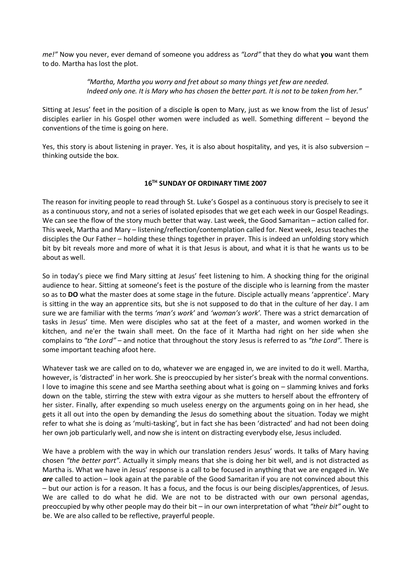*me!"* Now you never, ever demand of someone you address as *"Lord"* that they do what **you** want them to do. Martha has lost the plot.

> *"Martha, Martha you worry and fret about so many things yet few are needed. Indeed only one. It is Mary who has chosen the better part. It is not to be taken from her."*

Sitting at Jesus' feet in the position of a disciple **is** open to Mary, just as we know from the list of Jesus' disciples earlier in his Gospel other women were included as well. Something different – beyond the conventions of the time is going on here.

Yes, this story is about listening in prayer. Yes, it is also about hospitality, and yes, it is also subversion – thinking outside the box.

# **16TH SUNDAY OF ORDINARY TIME 2007**

The reason for inviting people to read through St. Luke's Gospel as a continuous story is precisely to see it as a continuous story, and not a series of isolated episodes that we get each week in our Gospel Readings. We can see the flow of the story much better that way. Last week, the Good Samaritan – action called for. This week, Martha and Mary – listening/reflection/contemplation called for. Next week, Jesus teaches the disciples the Our Father – holding these things together in prayer. This is indeed an unfolding story which bit by bit reveals more and more of what it is that Jesus is about, and what it is that he wants us to be about as well.

So in today's piece we find Mary sitting at Jesus' feet listening to him. A shocking thing for the original audience to hear. Sitting at someone's feet is the posture of the disciple who is learning from the master so as to **DO** what the master does at some stage in the future. Disciple actually means 'apprentice'. Mary is sitting in the way an apprentice sits, but she is not supposed to do that in the culture of her day. I am sure we are familiar with the terms *'man's work'* and *'woman's work'.* There was a strict demarcation of tasks in Jesus' time. Men were disciples who sat at the feet of a master, and women worked in the kitchen, and ne'er the twain shall meet. On the face of it Martha had right on her side when she complains to *"the Lord"* – and notice that throughout the story Jesus is referred to as *"the Lord".* There is some important teaching afoot here.

Whatever task we are called on to do, whatever we are engaged in, we are invited to do it well. Martha, however, is 'distracted' in her work. She is preoccupied by her sister's break with the normal conventions. I love to imagine this scene and see Martha seething about what is going on – slamming knives and forks down on the table, stirring the stew with extra vigour as she mutters to herself about the effrontery of her sister. Finally, after expending so much useless energy on the arguments going on in her head, she gets it all out into the open by demanding the Jesus do something about the situation. Today we might refer to what she is doing as 'multi-tasking', but in fact she has been 'distracted' and had not been doing her own job particularly well, and now she is intent on distracting everybody else, Jesus included.

We have a problem with the way in which our translation renders Jesus' words. It talks of Mary having chosen *"the better part".* Actually it simply means that she is doing her bit well, and is not distracted as Martha is. What we have in Jesus' response is a call to be focused in anything that we are engaged in. We *are* called to action – look again at the parable of the Good Samaritan if you are not convinced about this – but our action is for a reason. It has a focus, and the focus is our being disciples/apprentices, of Jesus. We are called to do what he did. We are not to be distracted with our own personal agendas, preoccupied by why other people may do their bit – in our own interpretation of what *"their bit"* ought to be. We are also called to be reflective, prayerful people.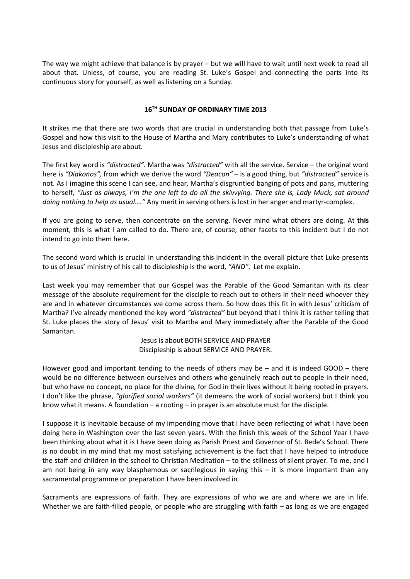The way we might achieve that balance is by prayer – but we will have to wait until next week to read all about that. Unless, of course, you are reading St. Luke's Gospel and connecting the parts into its continuous story for yourself, as well as listening on a Sunday.

### **16TH SUNDAY OF ORDINARY TIME 2013**

It strikes me that there are two words that are crucial in understanding both that passage from Luke's Gospel and how this visit to the House of Martha and Mary contributes to Luke's understanding of what Jesus and discipleship are about.

The first key word is *"distracted".* Martha was *"distracted"* with all the service. Service – the original word here is *"Diakonos",* from which we derive the word *"Deacon"* – is a good thing, but *"distracted"* service is not. As I imagine this scene I can see, and hear, Martha's disgruntled banging of pots and pans, muttering to herself, *"Just as always, I'm the one left to do all the skivvying. There she is, Lady Muck, sat around doing nothing to help as usual…."* Any merit in serving others is lost in her anger and martyr-complex.

If you are going to serve, then concentrate on the serving. Never mind what others are doing. At **this**  moment, this is what I am called to do. There are, of course, other facets to this incident but I do not intend to go into them here.

The second word which is crucial in understanding this incident in the overall picture that Luke presents to us of Jesus' ministry of his call to discipleship is the word, *"AND"*. Let me explain.

Last week you may remember that our Gospel was the Parable of the Good Samaritan with its clear message of the absolute requirement for the disciple to reach out to others in their need whoever they are and in whatever circumstances we come across them. So how does this fit in with Jesus' criticism of Martha? I've already mentioned the key word *"distracted"* but beyond that I think it is rather telling that St. Luke places the story of Jesus' visit to Martha and Mary immediately after the Parable of the Good Samaritan.

> Jesus is about BOTH SERVICE AND PRAYER Discipleship is about SERVICE AND PRAYER.

However good and important tending to the needs of others may be – and it is indeed GOOD – there would be no difference between ourselves and others who genuinely reach out to people in their need, but who have no concept, no place for the divine, for God in their lives without it being rooted **in** prayers. I don't like the phrase, *"glorified social workers"* (it demeans the work of social workers) but I think you know what it means. A foundation – a rooting – in prayer is an absolute must for the disciple.

I suppose it is inevitable because of my impending move that I have been reflecting of what I have been doing here in Washington over the last seven years. With the finish this week of the School Year I have been thinking about what it is I have been doing as Parish Priest and Governor of St. Bede's School. There is no doubt in my mind that my most satisfying achievement is the fact that I have helped to introduce the staff and children in the school to Christian Meditation – to the stillness of silent prayer. To me, and I am not being in any way blasphemous or sacrilegious in saying this – it is more important than any sacramental programme or preparation I have been involved in.

Sacraments are expressions of faith. They are expressions of who we are and where we are in life. Whether we are faith-filled people, or people who are struggling with faith – as long as we are engaged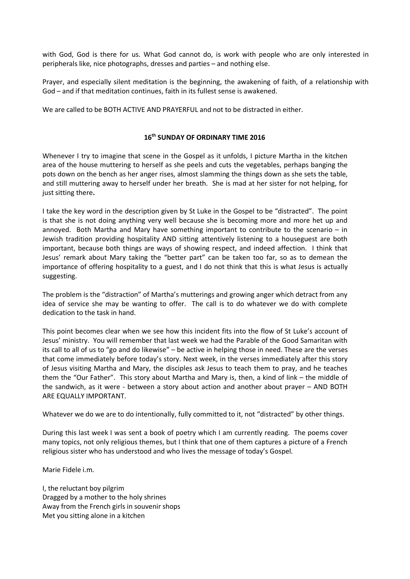with God, God is there for us. What God cannot do, is work with people who are only interested in peripherals like, nice photographs, dresses and parties – and nothing else.

Prayer, and especially silent meditation is the beginning, the awakening of faith, of a relationship with God – and if that meditation continues, faith in its fullest sense is awakened.

We are called to be BOTH ACTIVE AND PRAYERFUL and not to be distracted in either.

#### **16th SUNDAY OF ORDINARY TIME 2016**

Whenever I try to imagine that scene in the Gospel as it unfolds, I picture Martha in the kitchen area of the house muttering to herself as she peels and cuts the vegetables, perhaps banging the pots down on the bench as her anger rises, almost slamming the things down as she sets the table, and still muttering away to herself under her breath. She is mad at her sister for not helping, for just sitting there**.**

I take the key word in the description given by St Luke in the Gospel to be "distracted". The point is that she is not doing anything very well because she is becoming more and more het up and annoyed. Both Martha and Mary have something important to contribute to the scenario – in Jewish tradition providing hospitality AND sitting attentively listening to a houseguest are both important, because both things are ways of showing respect, and indeed affection. I think that Jesus' remark about Mary taking the "better part" can be taken too far, so as to demean the importance of offering hospitality to a guest, and I do not think that this is what Jesus is actually suggesting.

The problem is the "distraction" of Martha's mutterings and growing anger which detract from any idea of service she may be wanting to offer. The call is to do whatever we do with complete dedication to the task in hand.

This point becomes clear when we see how this incident fits into the flow of St Luke's account of Jesus' ministry. You will remember that last week we had the Parable of the Good Samaritan with its call to all of us to "go and do likewise" – be active in helping those in need. These are the verses that come immediately before today's story. Next week, in the verses immediately after this story of Jesus visiting Martha and Mary, the disciples ask Jesus to teach them to pray, and he teaches them the "Our Father". This story about Martha and Mary is, then, a kind of link – the middle of the sandwich, as it were - between a story about action and another about prayer – AND BOTH ARE EQUALLY IMPORTANT.

Whatever we do we are to do intentionally, fully committed to it, not "distracted" by other things.

During this last week I was sent a book of poetry which I am currently reading. The poems cover many topics, not only religious themes, but I think that one of them captures a picture of a French religious sister who has understood and who lives the message of today's Gospel.

Marie Fidele i.m.

I, the reluctant boy pilgrim Dragged by a mother to the holy shrines Away from the French girls in souvenir shops Met you sitting alone in a kitchen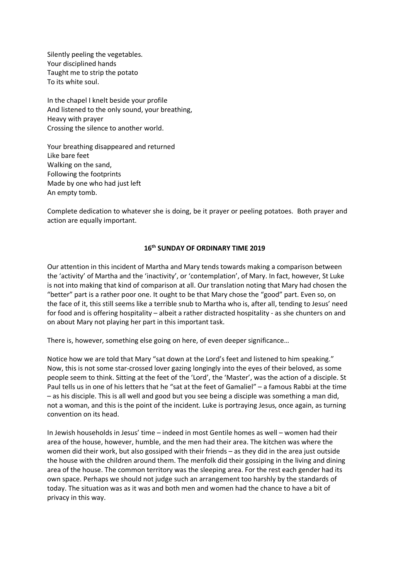Silently peeling the vegetables. Your disciplined hands Taught me to strip the potato To its white soul.

In the chapel I knelt beside your profile And listened to the only sound, your breathing, Heavy with prayer Crossing the silence to another world.

Your breathing disappeared and returned Like bare feet Walking on the sand, Following the footprints Made by one who had just left An empty tomb.

Complete dedication to whatever she is doing, be it prayer or peeling potatoes. Both prayer and action are equally important.

#### **16th SUNDAY OF ORDINARY TIME 2019**

Our attention in this incident of Martha and Mary tends towards making a comparison between the 'activity' of Martha and the 'inactivity', or 'contemplation', of Mary. In fact, however, St Luke is not into making that kind of comparison at all. Our translation noting that Mary had chosen the "better" part is a rather poor one. It ought to be that Mary chose the "good" part. Even so, on the face of it, this still seems like a terrible snub to Martha who is, after all, tending to Jesus' need for food and is offering hospitality – albeit a rather distracted hospitality - as she chunters on and on about Mary not playing her part in this important task.

There is, however, something else going on here, of even deeper significance…

Notice how we are told that Mary "sat down at the Lord's feet and listened to him speaking." Now, this is not some star-crossed lover gazing longingly into the eyes of their beloved, as some people seem to think. Sitting at the feet of the 'Lord', the 'Master', was the action of a disciple. St Paul tells us in one of his letters that he "sat at the feet of Gamaliel" – a famous Rabbi at the time – as his disciple. This is all well and good but you see being a disciple was something a man did, not a woman, and this is the point of the incident. Luke is portraying Jesus, once again, as turning convention on its head.

In Jewish households in Jesus' time – indeed in most Gentile homes as well – women had their area of the house, however, humble, and the men had their area. The kitchen was where the women did their work, but also gossiped with their friends – as they did in the area just outside the house with the children around them. The menfolk did their gossiping in the living and dining area of the house. The common territory was the sleeping area. For the rest each gender had its own space. Perhaps we should not judge such an arrangement too harshly by the standards of today. The situation was as it was and both men and women had the chance to have a bit of privacy in this way.